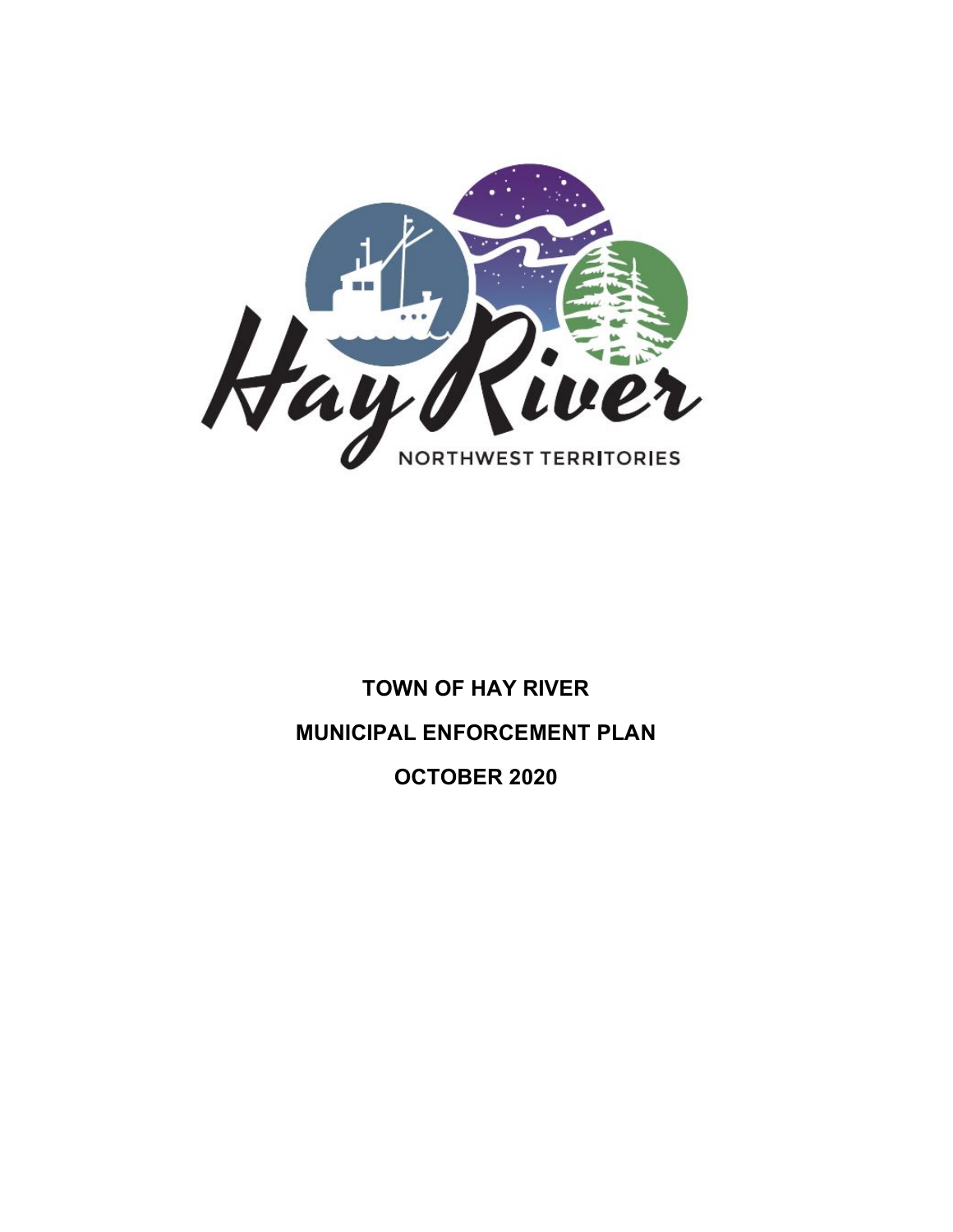

# **TOWN OF HAY RIVER MUNICIPAL ENFORCEMENT PLAN OCTOBER 2020**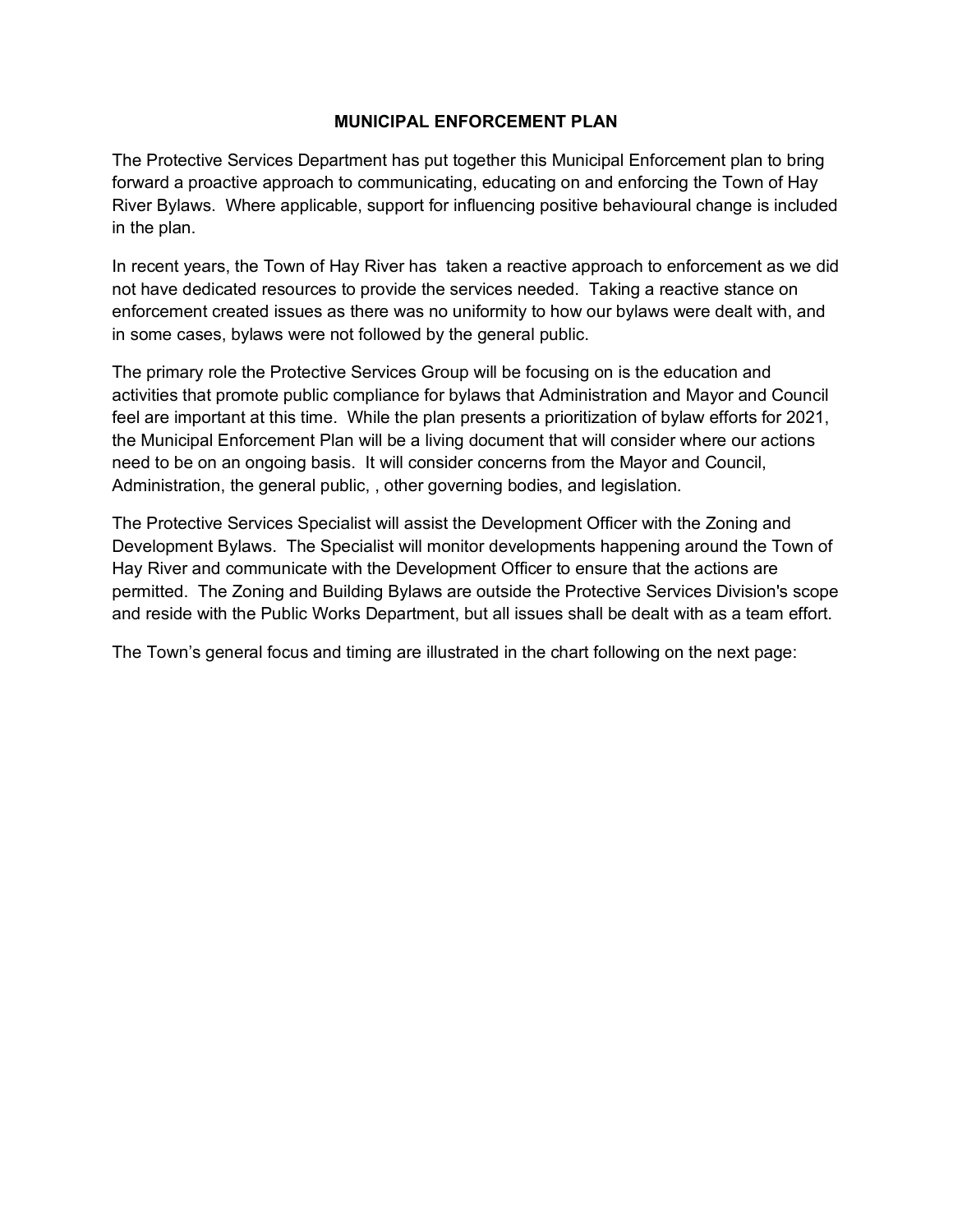## **MUNICIPAL ENFORCEMENT PLAN**

The Protective Services Department has put together this Municipal Enforcement plan to bring forward a proactive approach to communicating, educating on and enforcing the Town of Hay River Bylaws. Where applicable, support for influencing positive behavioural change is included in the plan.

In recent years, the Town of Hay River has taken a reactive approach to enforcement as we did not have dedicated resources to provide the services needed. Taking a reactive stance on enforcement created issues as there was no uniformity to how our bylaws were dealt with, and in some cases, bylaws were not followed by the general public.

The primary role the Protective Services Group will be focusing on is the education and activities that promote public compliance for bylaws that Administration and Mayor and Council feel are important at this time. While the plan presents a prioritization of bylaw efforts for 2021, the Municipal Enforcement Plan will be a living document that will consider where our actions need to be on an ongoing basis. It will consider concerns from the Mayor and Council, Administration, the general public, , other governing bodies, and legislation.

The Protective Services Specialist will assist the Development Officer with the Zoning and Development Bylaws. The Specialist will monitor developments happening around the Town of Hay River and communicate with the Development Officer to ensure that the actions are permitted. The Zoning and Building Bylaws are outside the Protective Services Division's scope and reside with the Public Works Department, but all issues shall be dealt with as a team effort.

The Town's general focus and timing are illustrated in the chart following on the next page: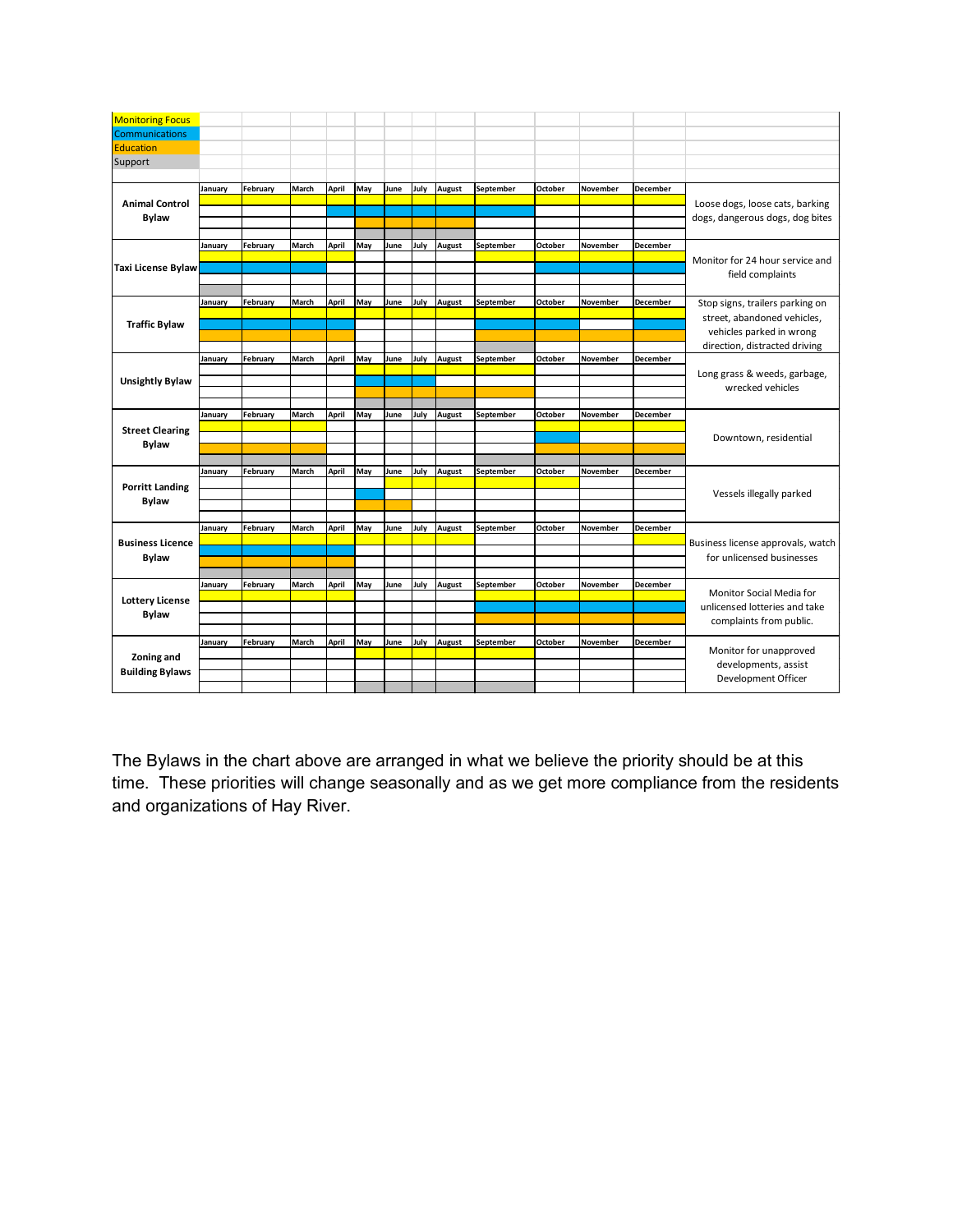| <b>Monitoring Focus</b> |         |          |       |       |     |      |      |               |           |         |          |          |                                                                                                                             |
|-------------------------|---------|----------|-------|-------|-----|------|------|---------------|-----------|---------|----------|----------|-----------------------------------------------------------------------------------------------------------------------------|
|                         |         |          |       |       |     |      |      |               |           |         |          |          |                                                                                                                             |
| Communications          |         |          |       |       |     |      |      |               |           |         |          |          |                                                                                                                             |
| <b>Education</b>        |         |          |       |       |     |      |      |               |           |         |          |          |                                                                                                                             |
| Support                 |         |          |       |       |     |      |      |               |           |         |          |          |                                                                                                                             |
|                         |         |          |       |       |     |      |      |               |           |         |          |          |                                                                                                                             |
|                         | January | February | March | April | May | June | July | <b>August</b> | September | October | November | December |                                                                                                                             |
| <b>Animal Control</b>   |         |          |       |       |     |      |      |               |           |         |          |          | Loose dogs, loose cats, barking                                                                                             |
| <b>Bylaw</b>            |         |          |       |       |     |      |      |               |           |         |          |          | dogs, dangerous dogs, dog bites                                                                                             |
|                         |         |          |       |       |     |      |      |               |           |         |          |          |                                                                                                                             |
|                         | January | February | March | April | May | June | July | August        | September | October | November | December |                                                                                                                             |
|                         |         |          |       |       |     |      |      |               |           |         |          |          | Monitor for 24 hour service and                                                                                             |
| Taxi License Bylaw      |         |          |       |       |     |      |      |               |           |         |          |          |                                                                                                                             |
|                         |         |          |       |       |     |      |      |               |           |         |          |          | field complaints                                                                                                            |
|                         |         |          |       |       |     |      |      |               |           |         |          |          |                                                                                                                             |
| <b>Traffic Bylaw</b>    | January | February | March | April | May | June | July | August        | September | October | November | December | Stop signs, trailers parking on<br>street, abandoned vehicles,<br>vehicles parked in wrong<br>direction, distracted driving |
|                         |         |          |       |       |     |      |      |               |           |         |          |          |                                                                                                                             |
|                         |         |          |       |       |     |      |      |               |           |         |          |          |                                                                                                                             |
|                         |         |          |       |       |     |      |      |               |           |         |          |          |                                                                                                                             |
|                         | January | February | March | April | May | June | July | <b>August</b> | September | October | November | December |                                                                                                                             |
|                         |         |          |       |       |     |      |      |               |           |         |          |          | Long grass & weeds, garbage,                                                                                                |
| <b>Unsightly Bylaw</b>  |         |          |       |       |     |      |      |               |           |         |          |          | wrecked vehicles                                                                                                            |
|                         |         |          |       |       |     |      |      |               |           |         |          |          |                                                                                                                             |
|                         |         |          |       |       |     |      |      |               |           |         |          |          |                                                                                                                             |
|                         | January | February | March | April | May | June | July | <b>August</b> | September | October | November | December |                                                                                                                             |
| <b>Street Clearing</b>  |         |          |       |       |     |      |      |               |           |         |          |          | Downtown, residential                                                                                                       |
| <b>Bylaw</b>            |         |          |       |       |     |      |      |               |           |         |          |          |                                                                                                                             |
|                         |         |          |       |       |     |      |      |               |           |         |          |          |                                                                                                                             |
| <b>Porritt Landing</b>  | January | February | March | April | May | June | July | <b>August</b> | September | October | November | December |                                                                                                                             |
|                         |         |          |       |       |     |      |      |               |           |         |          |          |                                                                                                                             |
| <b>Bylaw</b>            |         |          |       |       |     |      |      |               |           |         |          |          | Vessels illegally parked                                                                                                    |
|                         |         |          |       |       |     |      |      |               |           |         |          |          |                                                                                                                             |
|                         | January | February | March | April | May | June | July | <b>August</b> | September | October | November | December |                                                                                                                             |
| <b>Business Licence</b> |         |          |       |       |     |      |      |               |           |         |          |          |                                                                                                                             |
|                         |         |          |       |       |     |      |      |               |           |         |          |          | Business license approvals, watch                                                                                           |
| <b>Bylaw</b>            |         |          |       |       |     |      |      |               |           |         |          |          | for unlicensed businesses                                                                                                   |
|                         |         |          |       |       |     |      |      |               |           |         |          |          |                                                                                                                             |
|                         | January | February | March | April | May | June | July | <b>August</b> | September | October | November | December | Monitor Social Media for                                                                                                    |
| <b>Lottery License</b>  |         |          |       |       |     |      |      |               |           |         |          |          | unlicensed lotteries and take                                                                                               |
| <b>Bylaw</b>            |         |          |       |       |     |      |      |               |           |         |          |          |                                                                                                                             |
|                         |         |          |       |       |     |      |      |               |           |         |          |          | complaints from public.                                                                                                     |
|                         | January | February | March | April | May | June | July | <b>August</b> | September | October | November | December |                                                                                                                             |
| Zoning and              |         |          |       |       |     |      |      |               |           |         |          |          | Monitor for unapproved                                                                                                      |
|                         |         |          |       |       |     |      |      |               |           |         |          |          | developments, assist                                                                                                        |
| <b>Building Bylaws</b>  |         |          |       |       |     |      |      |               |           |         |          |          | Development Officer                                                                                                         |
|                         |         |          |       |       |     |      |      |               |           |         |          |          |                                                                                                                             |

The Bylaws in the chart above are arranged in what we believe the priority should be at this time. These priorities will change seasonally and as we get more compliance from the residents and organizations of Hay River.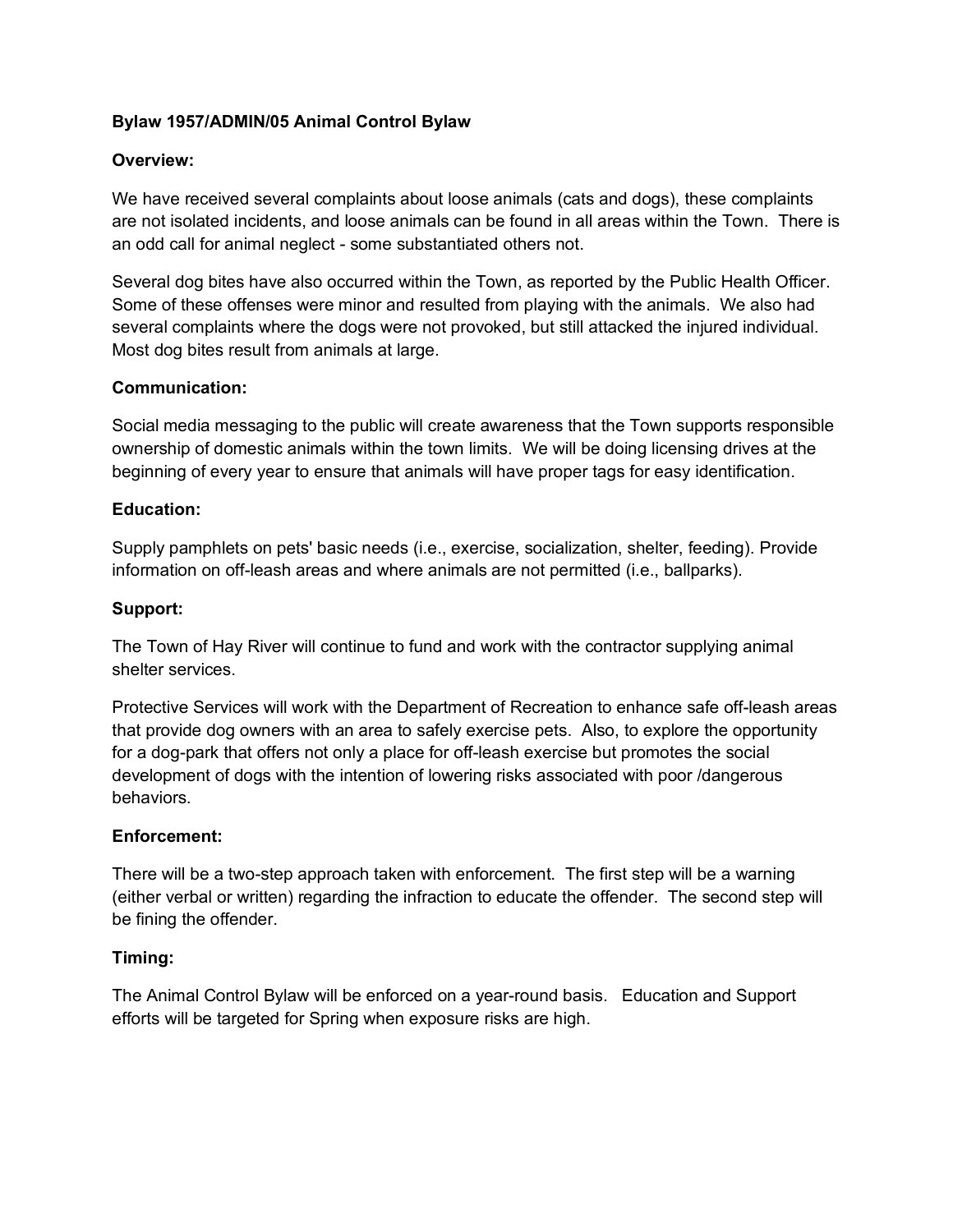# **Bylaw 1957/ADMIN/05 Animal Control Bylaw**

## **Overview:**

We have received several complaints about loose animals (cats and dogs), these complaints are not isolated incidents, and loose animals can be found in all areas within the Town. There is an odd call for animal neglect - some substantiated others not.

Several dog bites have also occurred within the Town, as reported by the Public Health Officer. Some of these offenses were minor and resulted from playing with the animals. We also had several complaints where the dogs were not provoked, but still attacked the injured individual. Most dog bites result from animals at large.

## **Communication:**

Social media messaging to the public will create awareness that the Town supports responsible ownership of domestic animals within the town limits. We will be doing licensing drives at the beginning of every year to ensure that animals will have proper tags for easy identification.

## **Education:**

Supply pamphlets on pets' basic needs (i.e., exercise, socialization, shelter, feeding). Provide information on off-leash areas and where animals are not permitted (i.e., ballparks).

## **Support:**

The Town of Hay River will continue to fund and work with the contractor supplying animal shelter services.

Protective Services will work with the Department of Recreation to enhance safe off-leash areas that provide dog owners with an area to safely exercise pets. Also, to explore the opportunity for a dog-park that offers not only a place for off-leash exercise but promotes the social development of dogs with the intention of lowering risks associated with poor /dangerous behaviors.

## **Enforcement:**

There will be a two-step approach taken with enforcement. The first step will be a warning (either verbal or written) regarding the infraction to educate the offender. The second step will be fining the offender.

## **Timing:**

The Animal Control Bylaw will be enforced on a year-round basis. Education and Support efforts will be targeted for Spring when exposure risks are high.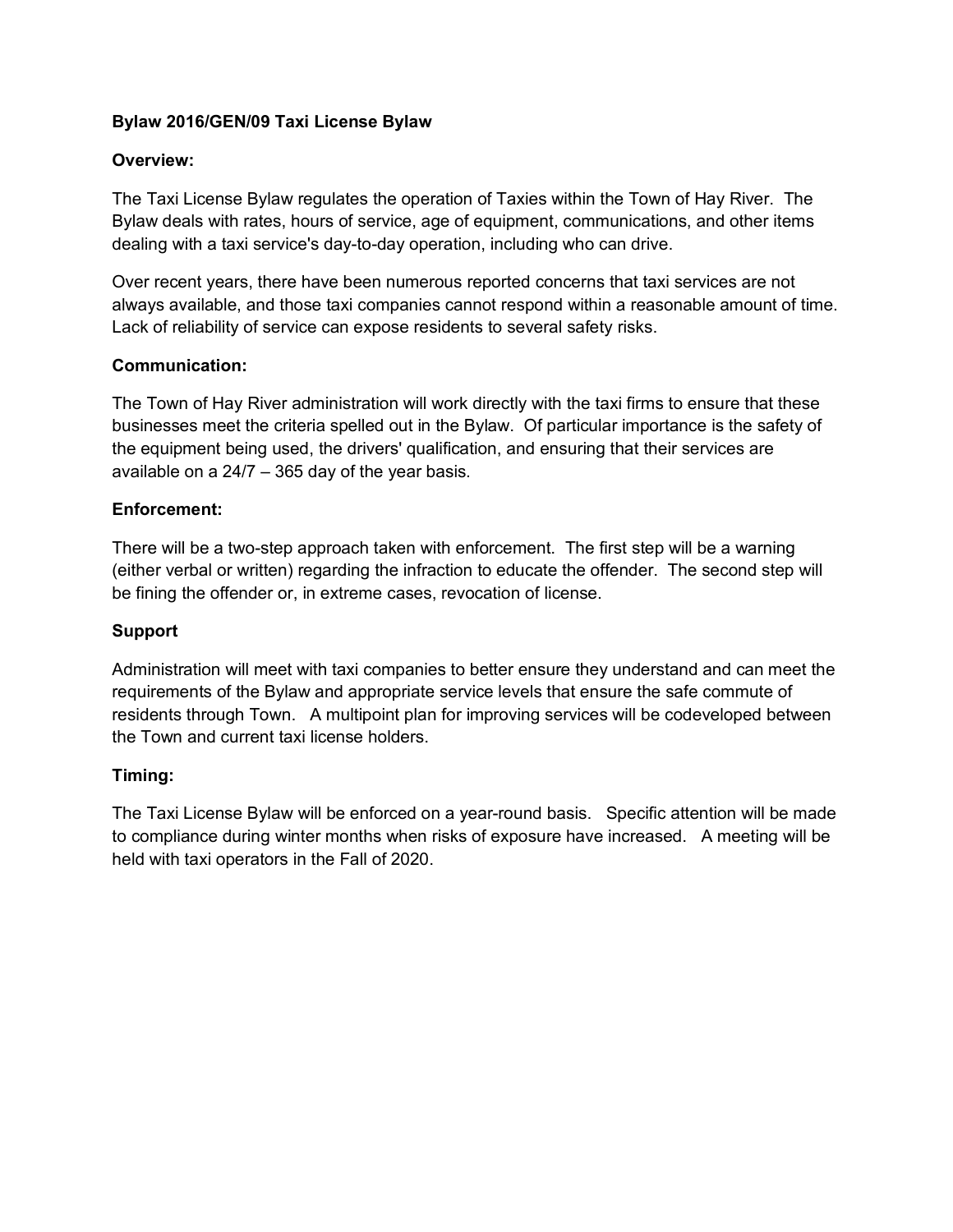# **Bylaw 2016/GEN/09 Taxi License Bylaw**

# **Overview:**

The Taxi License Bylaw regulates the operation of Taxies within the Town of Hay River. The Bylaw deals with rates, hours of service, age of equipment, communications, and other items dealing with a taxi service's day-to-day operation, including who can drive.

Over recent years, there have been numerous reported concerns that taxi services are not always available, and those taxi companies cannot respond within a reasonable amount of time. Lack of reliability of service can expose residents to several safety risks.

# **Communication:**

The Town of Hay River administration will work directly with the taxi firms to ensure that these businesses meet the criteria spelled out in the Bylaw. Of particular importance is the safety of the equipment being used, the drivers' qualification, and ensuring that their services are available on a 24/7 – 365 day of the year basis.

# **Enforcement:**

There will be a two-step approach taken with enforcement. The first step will be a warning (either verbal or written) regarding the infraction to educate the offender. The second step will be fining the offender or, in extreme cases, revocation of license.

## **Support**

Administration will meet with taxi companies to better ensure they understand and can meet the requirements of the Bylaw and appropriate service levels that ensure the safe commute of residents through Town. A multipoint plan for improving services will be codeveloped between the Town and current taxi license holders.

## **Timing:**

The Taxi License Bylaw will be enforced on a year-round basis. Specific attention will be made to compliance during winter months when risks of exposure have increased. A meeting will be held with taxi operators in the Fall of 2020.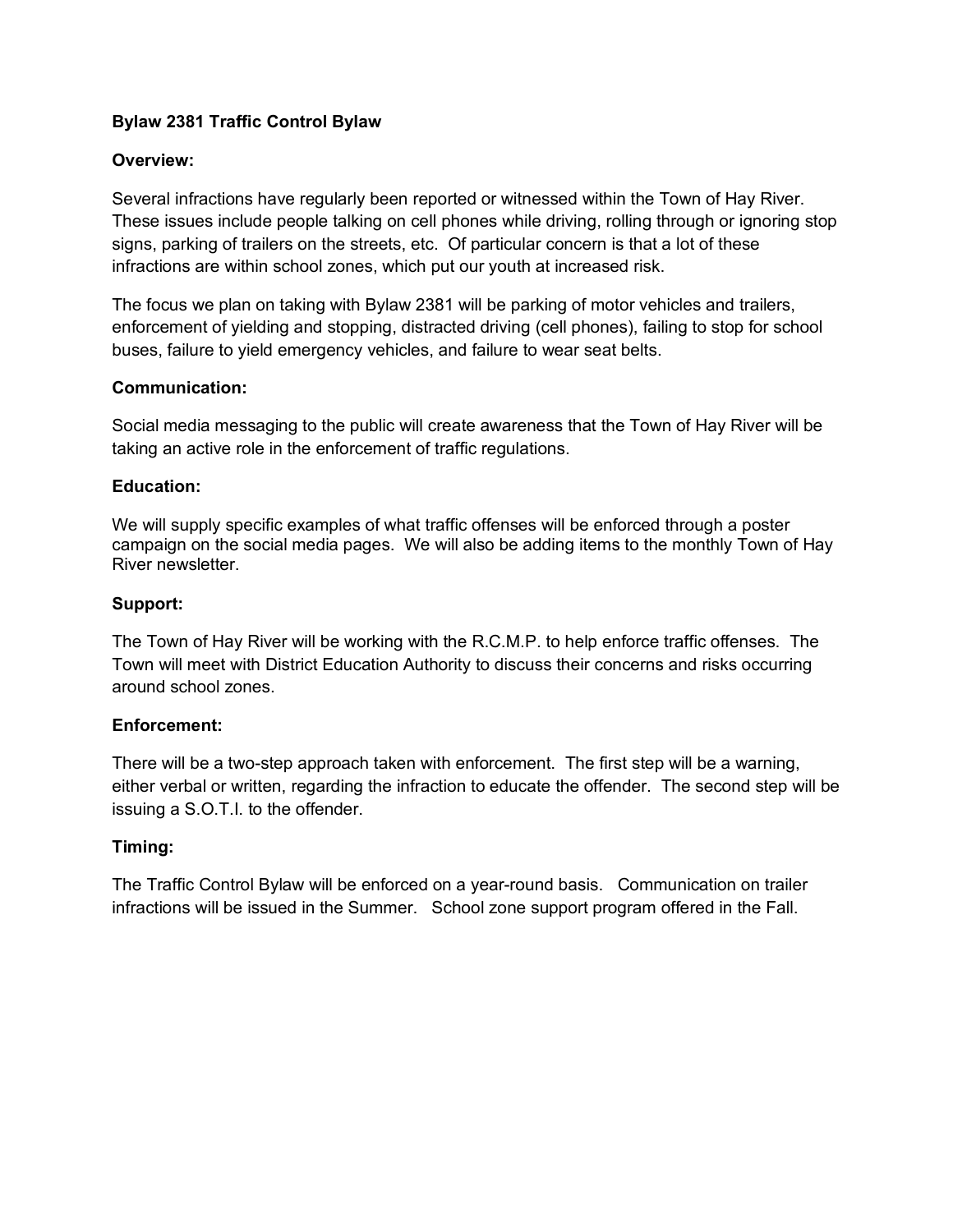# **Bylaw 2381 Traffic Control Bylaw**

## **Overview:**

Several infractions have regularly been reported or witnessed within the Town of Hay River. These issues include people talking on cell phones while driving, rolling through or ignoring stop signs, parking of trailers on the streets, etc. Of particular concern is that a lot of these infractions are within school zones, which put our youth at increased risk.

The focus we plan on taking with Bylaw 2381 will be parking of motor vehicles and trailers, enforcement of yielding and stopping, distracted driving (cell phones), failing to stop for school buses, failure to yield emergency vehicles, and failure to wear seat belts.

## **Communication:**

Social media messaging to the public will create awareness that the Town of Hay River will be taking an active role in the enforcement of traffic regulations.

#### **Education:**

We will supply specific examples of what traffic offenses will be enforced through a poster campaign on the social media pages. We will also be adding items to the monthly Town of Hay River newsletter.

#### **Support:**

The Town of Hay River will be working with the R.C.M.P. to help enforce traffic offenses. The Town will meet with District Education Authority to discuss their concerns and risks occurring around school zones.

## **Enforcement:**

There will be a two-step approach taken with enforcement. The first step will be a warning, either verbal or written, regarding the infraction to educate the offender. The second step will be issuing a S.O.T.I. to the offender.

## **Timing:**

The Traffic Control Bylaw will be enforced on a year-round basis. Communication on trailer infractions will be issued in the Summer. School zone support program offered in the Fall.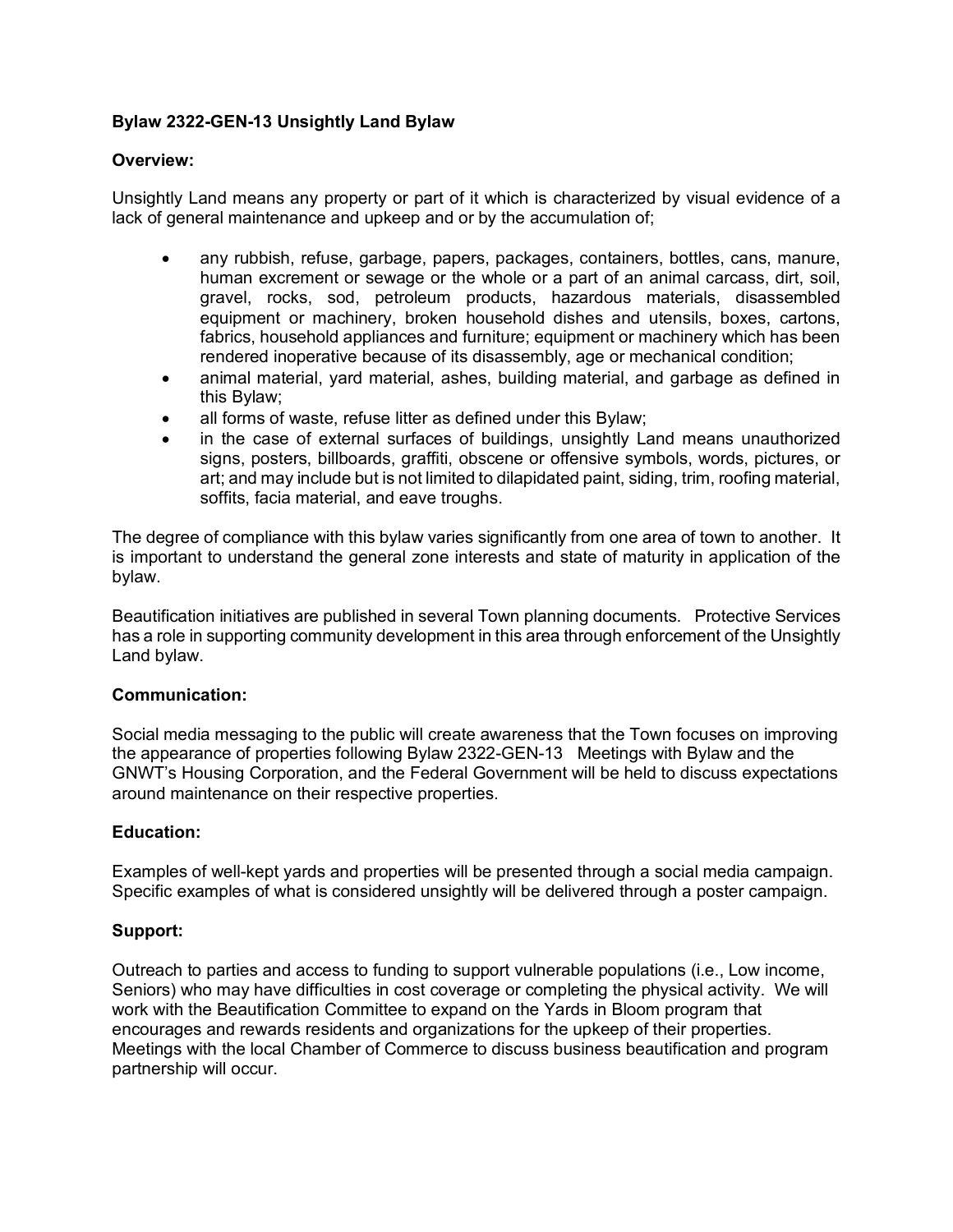# **Bylaw 2322-GEN-13 Unsightly Land Bylaw**

## **Overview:**

Unsightly Land means any property or part of it which is characterized by visual evidence of a lack of general maintenance and upkeep and or by the accumulation of;

- any rubbish, refuse, garbage, papers, packages, containers, bottles, cans, manure, human excrement or sewage or the whole or a part of an animal carcass, dirt, soil, gravel, rocks, sod, petroleum products, hazardous materials, disassembled equipment or machinery, broken household dishes and utensils, boxes, cartons, fabrics, household appliances and furniture; equipment or machinery which has been rendered inoperative because of its disassembly, age or mechanical condition;
- animal material, yard material, ashes, building material, and garbage as defined in this Bylaw;
- all forms of waste, refuse litter as defined under this Bylaw;
- in the case of external surfaces of buildings, unsightly Land means unauthorized signs, posters, billboards, graffiti, obscene or offensive symbols, words, pictures, or art; and may include but is not limited to dilapidated paint, siding, trim, roofing material, soffits, facia material, and eave troughs.

The degree of compliance with this bylaw varies significantly from one area of town to another. It is important to understand the general zone interests and state of maturity in application of the bylaw.

Beautification initiatives are published in several Town planning documents. Protective Services has a role in supporting community development in this area through enforcement of the Unsightly Land bylaw.

#### **Communication:**

Social media messaging to the public will create awareness that the Town focuses on improving the appearance of properties following Bylaw 2322-GEN-13 Meetings with Bylaw and the GNWT's Housing Corporation, and the Federal Government will be held to discuss expectations around maintenance on their respective properties.

## **Education:**

Examples of well-kept yards and properties will be presented through a social media campaign. Specific examples of what is considered unsightly will be delivered through a poster campaign.

#### **Support:**

Outreach to parties and access to funding to support vulnerable populations (i.e., Low income, Seniors) who may have difficulties in cost coverage or completing the physical activity. We will work with the Beautification Committee to expand on the Yards in Bloom program that encourages and rewards residents and organizations for the upkeep of their properties. Meetings with the local Chamber of Commerce to discuss business beautification and program partnership will occur.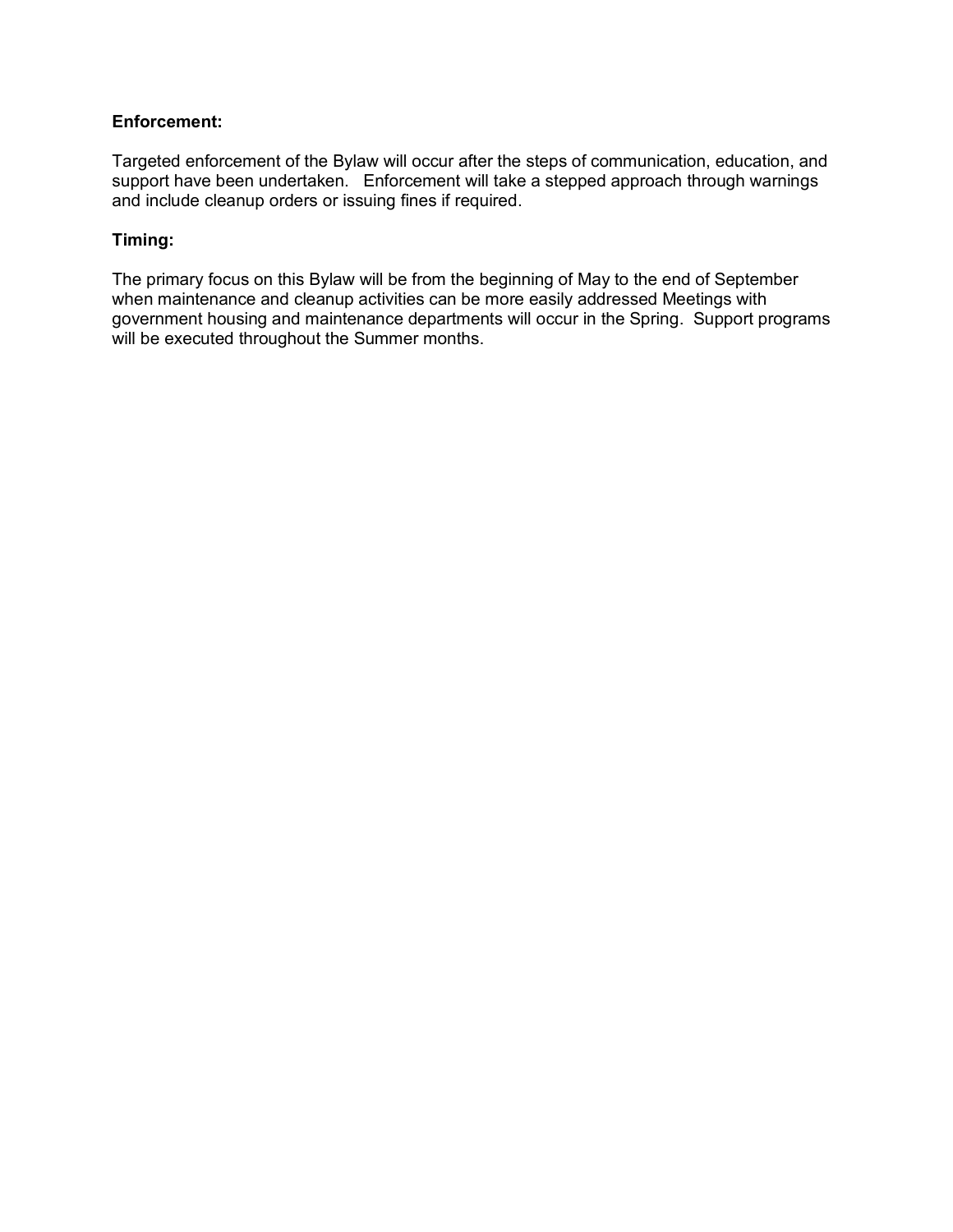## **Enforcement:**

Targeted enforcement of the Bylaw will occur after the steps of communication, education, and support have been undertaken. Enforcement will take a stepped approach through warnings and include cleanup orders or issuing fines if required.

# **Timing:**

The primary focus on this Bylaw will be from the beginning of May to the end of September when maintenance and cleanup activities can be more easily addressed Meetings with government housing and maintenance departments will occur in the Spring. Support programs will be executed throughout the Summer months.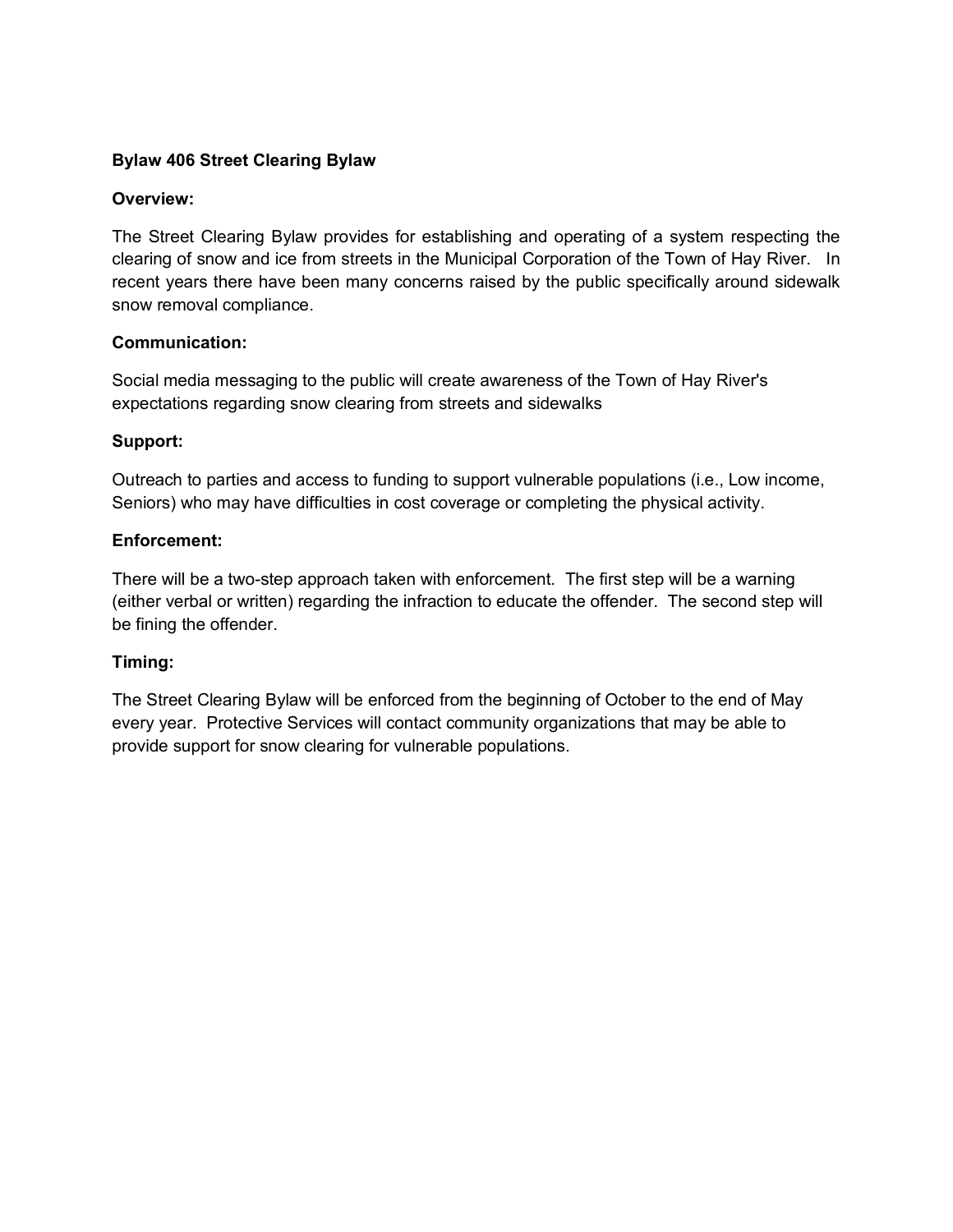# **Bylaw 406 Street Clearing Bylaw**

## **Overview:**

The Street Clearing Bylaw provides for establishing and operating of a system respecting the clearing of snow and ice from streets in the Municipal Corporation of the Town of Hay River. In recent years there have been many concerns raised by the public specifically around sidewalk snow removal compliance.

# **Communication:**

Social media messaging to the public will create awareness of the Town of Hay River's expectations regarding snow clearing from streets and sidewalks

# **Support:**

Outreach to parties and access to funding to support vulnerable populations (i.e., Low income, Seniors) who may have difficulties in cost coverage or completing the physical activity.

# **Enforcement:**

There will be a two-step approach taken with enforcement. The first step will be a warning (either verbal or written) regarding the infraction to educate the offender. The second step will be fining the offender.

# **Timing:**

The Street Clearing Bylaw will be enforced from the beginning of October to the end of May every year. Protective Services will contact community organizations that may be able to provide support for snow clearing for vulnerable populations.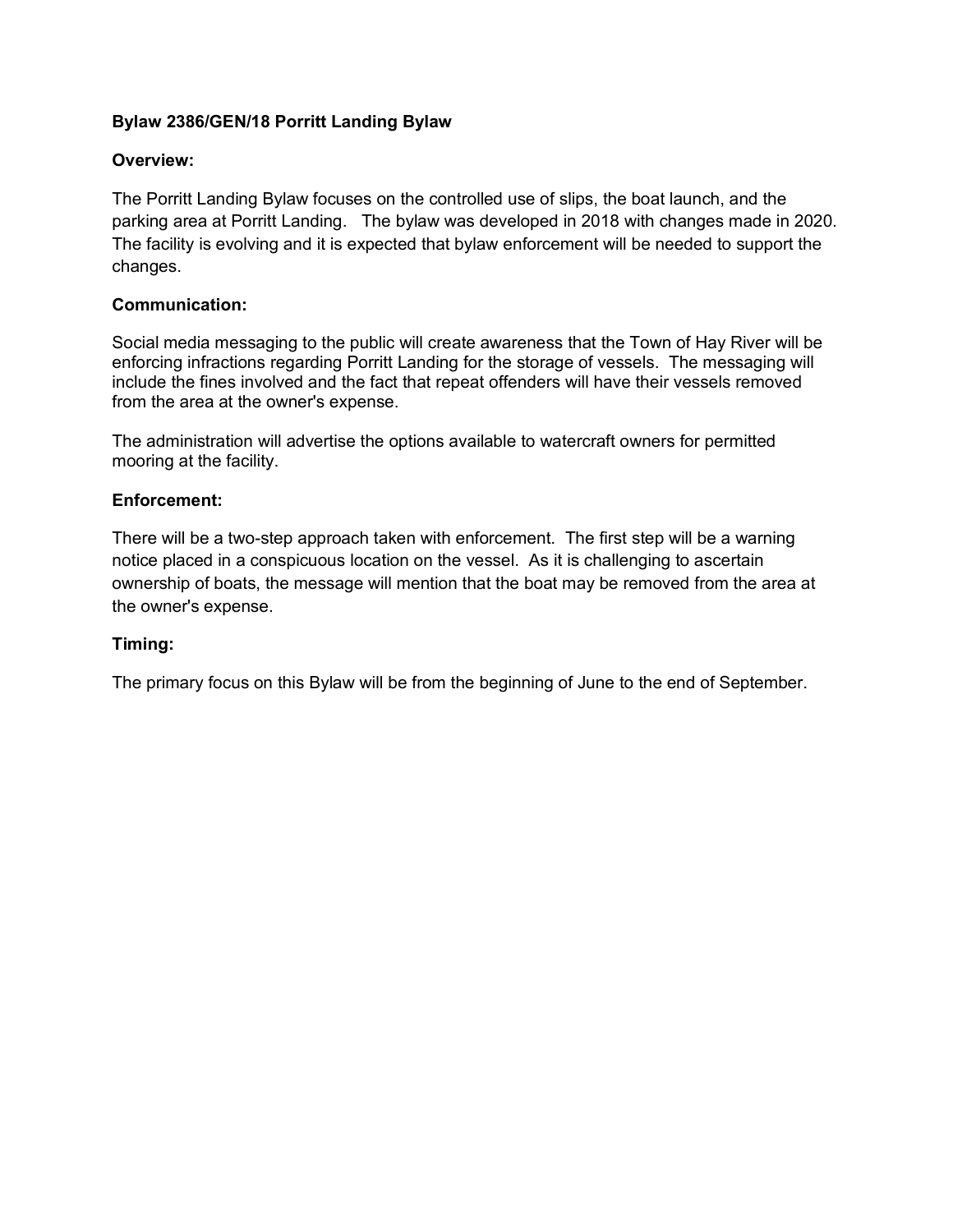# **Bylaw 2386/GEN/18 Porritt Landing Bylaw**

# **Overview:**

The Porritt Landing Bylaw focuses on the controlled use of slips, the boat launch, and the parking area at Porritt Landing. The bylaw was developed in 2018 with changes made in 2020. The facility is evolving and it is expected that bylaw enforcement will be needed to support the changes.

## **Communication:**

Social media messaging to the public will create awareness that the Town of Hay River will be enforcing infractions regarding Porritt Landing for the storage of vessels. The messaging will include the fines involved and the fact that repeat offenders will have their vessels removed from the area at the owner's expense.

The administration will advertise the options available to watercraft owners for permitted mooring at the facility.

## **Enforcement:**

There will be a two-step approach taken with enforcement. The first step will be a warning notice placed in a conspicuous location on the vessel. As it is challenging to ascertain ownership of boats, the message will mention that the boat may be removed from the area at the owner's expense.

## **Timing:**

The primary focus on this Bylaw will be from the beginning of June to the end of September.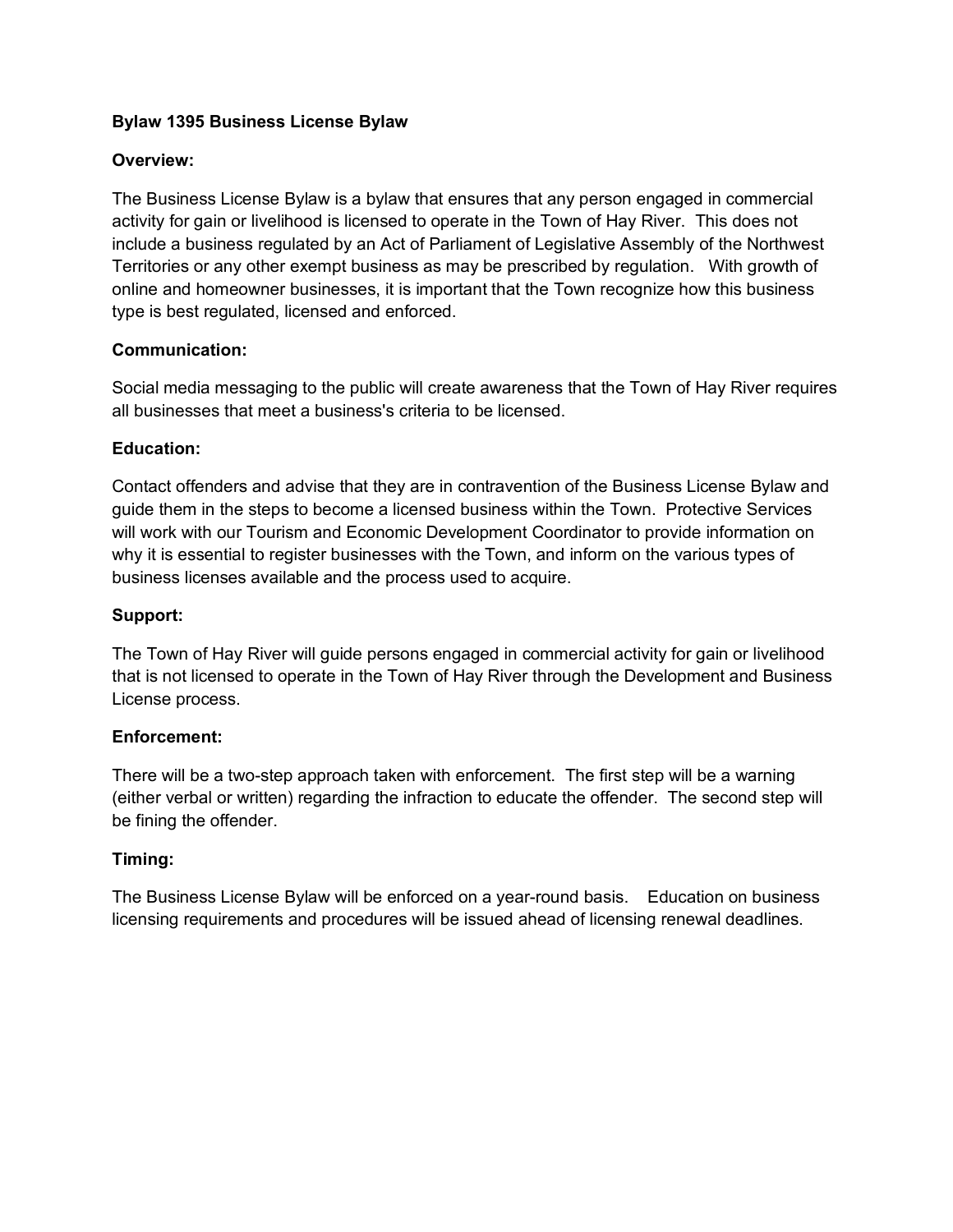# **Bylaw 1395 Business License Bylaw**

# **Overview:**

The Business License Bylaw is a bylaw that ensures that any person engaged in commercial activity for gain or livelihood is licensed to operate in the Town of Hay River. This does not include a business regulated by an Act of Parliament of Legislative Assembly of the Northwest Territories or any other exempt business as may be prescribed by regulation. With growth of online and homeowner businesses, it is important that the Town recognize how this business type is best regulated, licensed and enforced.

# **Communication:**

Social media messaging to the public will create awareness that the Town of Hay River requires all businesses that meet a business's criteria to be licensed.

# **Education:**

Contact offenders and advise that they are in contravention of the Business License Bylaw and guide them in the steps to become a licensed business within the Town. Protective Services will work with our Tourism and Economic Development Coordinator to provide information on why it is essential to register businesses with the Town, and inform on the various types of business licenses available and the process used to acquire.

## **Support:**

The Town of Hay River will guide persons engaged in commercial activity for gain or livelihood that is not licensed to operate in the Town of Hay River through the Development and Business License process.

## **Enforcement:**

There will be a two-step approach taken with enforcement. The first step will be a warning (either verbal or written) regarding the infraction to educate the offender. The second step will be fining the offender.

## **Timing:**

The Business License Bylaw will be enforced on a year-round basis. Education on business licensing requirements and procedures will be issued ahead of licensing renewal deadlines.